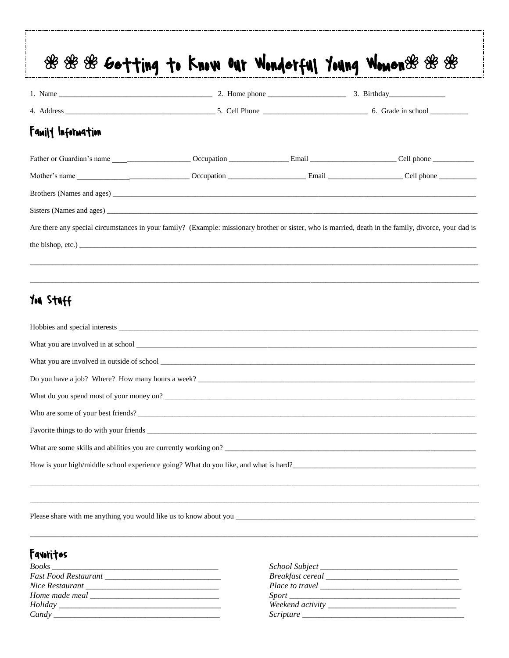| Family Information                                                                                                                                                                            |  |  |  |  |
|-----------------------------------------------------------------------------------------------------------------------------------------------------------------------------------------------|--|--|--|--|
|                                                                                                                                                                                               |  |  |  |  |
|                                                                                                                                                                                               |  |  |  |  |
|                                                                                                                                                                                               |  |  |  |  |
|                                                                                                                                                                                               |  |  |  |  |
|                                                                                                                                                                                               |  |  |  |  |
|                                                                                                                                                                                               |  |  |  |  |
|                                                                                                                                                                                               |  |  |  |  |
| Are there any special circumstances in your family? (Example: missionary brother or sister, who is married, death in the family, divorce, your dad is<br>the bishop, etc.)<br><b>HALL NOR</b> |  |  |  |  |
|                                                                                                                                                                                               |  |  |  |  |
|                                                                                                                                                                                               |  |  |  |  |
| What do you spend most of your money on?                                                                                                                                                      |  |  |  |  |
|                                                                                                                                                                                               |  |  |  |  |

Please share with me anything you would like us to know about you \_

## Favoritos

| School Subject _____         |                 |  |
|------------------------------|-----------------|--|
| Breakfast cereal ___________ |                 |  |
|                              | Place to travel |  |
|                              |                 |  |
| Weekend activity ___________ |                 |  |
| Scripture ______             |                 |  |